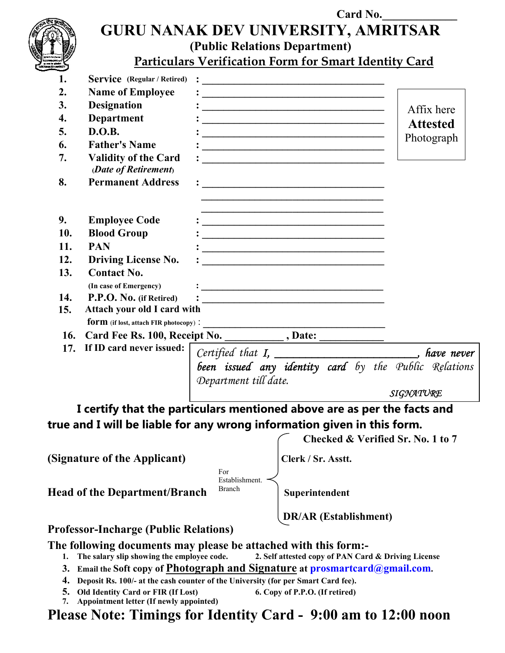

## Card No. GURU NANAK DEV UNIVERSITY, AMRITSAR (Public Relations Department)

Particulars Verification Form for Smart Identity Card

| 1.                                                                               | <b>Service</b> (Regular / Retired)                  | $\ddot{\cdot}$ . The contract of the contract of the contract of the contract of the contract of the contract of the contract of the contract of the contract of the contract of the contract of the contract of the contract of th    |                 |  |  |
|----------------------------------------------------------------------------------|-----------------------------------------------------|----------------------------------------------------------------------------------------------------------------------------------------------------------------------------------------------------------------------------------------|-----------------|--|--|
| 2.                                                                               | <b>Name of Employee</b>                             |                                                                                                                                                                                                                                        |                 |  |  |
| 3.                                                                               | <b>Designation</b>                                  |                                                                                                                                                                                                                                        | Affix here      |  |  |
| 4.                                                                               | <b>Department</b>                                   |                                                                                                                                                                                                                                        | <b>Attested</b> |  |  |
| 5.                                                                               | D.O.B.                                              |                                                                                                                                                                                                                                        |                 |  |  |
| 6.                                                                               | <b>Father's Name</b>                                |                                                                                                                                                                                                                                        | Photograph      |  |  |
| 7.                                                                               | <b>Validity of the Card</b><br>(Date of Retirement) | <u> 1980 - Jan Barnett, fransk politiker og den større og den større og det forskeller og den som forskeller og </u>                                                                                                                   |                 |  |  |
| 8.                                                                               | <b>Permanent Address</b>                            |                                                                                                                                                                                                                                        |                 |  |  |
| 9.                                                                               | <b>Employee Code</b>                                | <u> 1989 - Johann Stein, mars an deutscher Stein und der Stein und der Stein und der Stein und der Stein und der</u>                                                                                                                   |                 |  |  |
| 10.                                                                              | <b>Blood Group</b>                                  | <u> 2002 - Johann Stone, mars eta bainar eta mondo eta erresta errestan errestan erresta erresta erresta erresta</u>                                                                                                                   |                 |  |  |
| 11.                                                                              | <b>PAN</b>                                          | <u> 1986 - Jan Barbara, politikar politikar eta programa eta programa eta programa eta programa eta programa eta</u>                                                                                                                   |                 |  |  |
| 12.                                                                              | <b>Driving License No.</b>                          | <u> 1989 - Johann John Stoff, deutscher Stoffen und der Stoffen und der Stoffen und der Stoffen und der Stoffen</u>                                                                                                                    |                 |  |  |
| 13.                                                                              | <b>Contact No.</b>                                  |                                                                                                                                                                                                                                        |                 |  |  |
|                                                                                  | (In case of Emergency)                              |                                                                                                                                                                                                                                        |                 |  |  |
| 14.                                                                              | P.P.O. No. (if Retired)                             | $\mathbf{B}=\frac{1}{2}$ . The contract of the contract of the contract of the contract of the contract of the contract of the contract of the contract of the contract of the contract of the contract of the contract of the contrac |                 |  |  |
| 15.                                                                              | Attach your old I card with                         |                                                                                                                                                                                                                                        |                 |  |  |
|                                                                                  |                                                     | <u> 1989 - Johann Barbara, martin a</u>                                                                                                                                                                                                |                 |  |  |
| 16.                                                                              |                                                     |                                                                                                                                                                                                                                        |                 |  |  |
| 17.                                                                              | If ID card never issued:                            | Certified that I, _______________________, have never                                                                                                                                                                                  |                 |  |  |
|                                                                                  |                                                     | been issued any identity card by the Public Relations                                                                                                                                                                                  |                 |  |  |
|                                                                                  |                                                     | Department till date.                                                                                                                                                                                                                  |                 |  |  |
|                                                                                  |                                                     |                                                                                                                                                                                                                                        | SIGNATURE       |  |  |
|                                                                                  |                                                     | I certify that the particulars mentioned above are as per the facts and                                                                                                                                                                |                 |  |  |
|                                                                                  |                                                     | true and I will be liable for any wrong information given in this form.                                                                                                                                                                |                 |  |  |
|                                                                                  |                                                     | Checked & Verified Sr. No. 1 to 7                                                                                                                                                                                                      |                 |  |  |
|                                                                                  |                                                     |                                                                                                                                                                                                                                        |                 |  |  |
|                                                                                  | (Signature of the Applicant)                        | Clerk / Sr. Asstt.                                                                                                                                                                                                                     |                 |  |  |
|                                                                                  |                                                     | For<br>Establishment.                                                                                                                                                                                                                  |                 |  |  |
|                                                                                  |                                                     |                                                                                                                                                                                                                                        |                 |  |  |
|                                                                                  | <b>Head of the Department/Branch</b>                | Superintendent                                                                                                                                                                                                                         |                 |  |  |
|                                                                                  |                                                     | <b>DR/AR</b> (Establishment)                                                                                                                                                                                                           |                 |  |  |
|                                                                                  | <b>Professor-Incharge (Public Relations)</b>        |                                                                                                                                                                                                                                        |                 |  |  |
|                                                                                  | The salary slip showing the employee code.          | The following documents may please be attached with this form:-<br>2. Self attested copy of PAN Card & Driving License                                                                                                                 |                 |  |  |
| Email the Soft copy of Photograph and Signature at prosmartcard@gmail.com.<br>3. |                                                     |                                                                                                                                                                                                                                        |                 |  |  |
|                                                                                  |                                                     | 4. Deposit Rs. 100/- at the cash counter of the University (for per Smart Card fee).                                                                                                                                                   |                 |  |  |
|                                                                                  | 5. Old Identity Card or FIR (If Lost)               | 6. Copy of P.P.O. (If retired)                                                                                                                                                                                                         |                 |  |  |
| 7.                                                                               | Appointment letter (If newly appointed)             |                                                                                                                                                                                                                                        |                 |  |  |
|                                                                                  |                                                     | Please Note: Timings for Identity Card - 9:00 am to 12:00 noon                                                                                                                                                                         |                 |  |  |